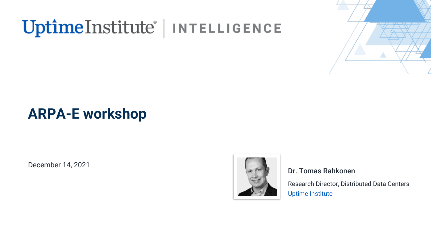# UptimeInstitute® | INTELLIGENCE



## **ARPA-E workshop**

December 14, 2021



#### Dr. Tomas Rahkonen

Research Director, Distributed Data Centers Uptime Institute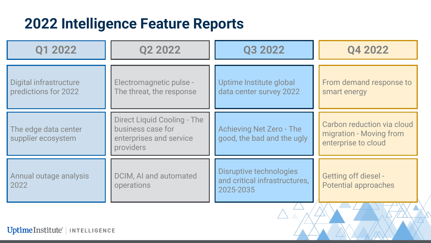#### **2022 Intelligence Feature Reports**

| Q1 2022                                        | Q2 2022                                                                                         | Q3 2022                                                               | Q4 2022                                                                      |
|------------------------------------------------|-------------------------------------------------------------------------------------------------|-----------------------------------------------------------------------|------------------------------------------------------------------------------|
| Digital infrastructure<br>predictions for 2022 | Electromagnetic pulse -<br>The threat, the response                                             | Uptime Institute global<br>data center survey 2022                    | From demand response to<br>smart energy                                      |
| The edge data center<br>supplier ecosystem     | <b>Direct Liquid Cooling - The</b><br>business case for<br>enterprises and service<br>providers | <b>Achieving Net Zero - The</b><br>good, the bad and the ugly         | Carbon reduction via cloud<br>migration - Moving from<br>enterprise to cloud |
| Annual outage analysis<br>2022                 | DCIM, AI and automated<br>operations                                                            | Disruptive technologies<br>and critical infrastructures,<br>2025-2035 | <b>Getting off diesel -</b><br><b>Potential approaches</b>                   |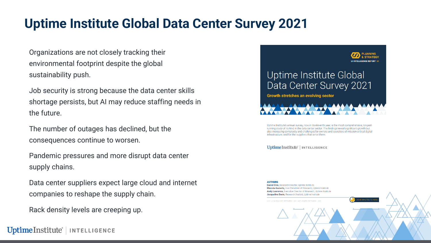#### **Uptime Institute Global Data Center Survey 2021**

Organizations are not closely tracking their environmental footprint despite the global sustainability push.

Job security is strong because the data center skills shortage persists, but AI may reduce staffing needs in the future.

The number of outages has declined, but the consequences continue to worsen.

Pandemic pressures and more disrupt data center supply chains.

Data center suppliers expect large cloud and internet companies to reshape the supply chain.

Rack density levels are creeping up.

UptimeInstitute<sup>®</sup> | INTELLIGENCE



Uptime Institute's annual survey, now in its eleventh year, is the most comprehensive, longestrunning study of its kind in the data center sector. The findings reveal significant growth but also increasing complexity and challenges for owners and operators of mission-critical digital infrastructure, and for the suppliers that serve them

#### UptimeInstitute' | INTELLIGENCE

**AUTHORS** Daniel Bizo, Research Director, Uptime Institute Rhonda Ascierto, Vice President of Research, Uptime Institute Andy Lawrence, Executive Director of Research, Uptime Institute Jacqueline Davis, Research Analyst, Uptime Institute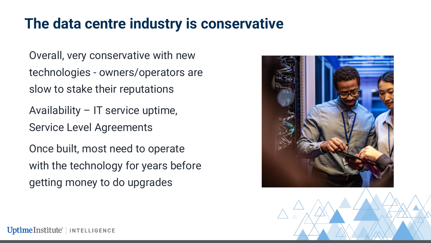#### **The data centre industry is conservative**

Overall, very conservative with new technologies - owners/operators are slow to stake their reputations

Availability – IT service uptime, Service Level Agreements

Once built, most need to operate with the technology for years before getting money to do upgrades



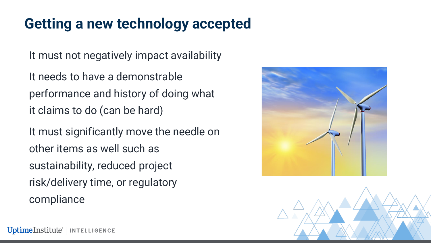### **Getting a new technology accepted**

It must not negatively impact availability

It needs to have a demonstrable performance and history of doing what it claims to do (can be hard)

It must significantly move the needle on other items as well such as sustainability, reduced project risk/delivery time, or regulatory compliance



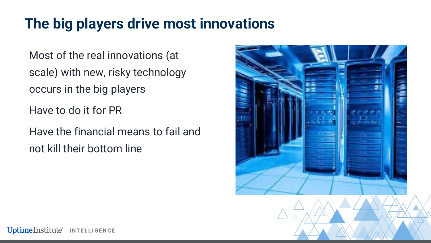## **The big players drive most innovations**

Most of the real innovations (at scale) with new, risky technology occurs in the big players

Have to do it for PR

Have the financial means to fail and not kill their bottom line

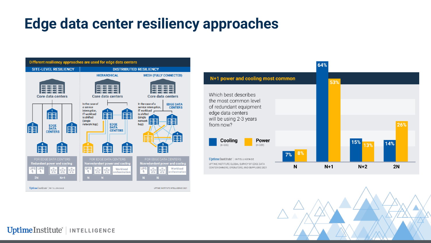#### **Edge data center resiliency approaches**

![](_page_6_Figure_1.jpeg)

![](_page_6_Figure_2.jpeg)

![](_page_6_Figure_3.jpeg)